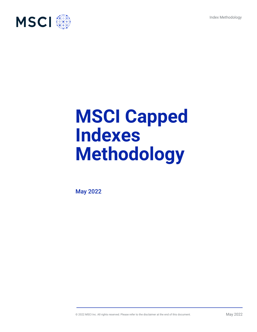Index Methodology



# **MSCI Capped Indexes Methodology**

May 2022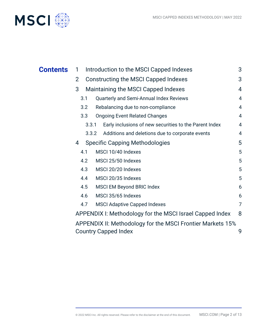

|                                                                 | 3                                                                                                                                                                                                                                 |
|-----------------------------------------------------------------|-----------------------------------------------------------------------------------------------------------------------------------------------------------------------------------------------------------------------------------|
| <b>Constructing the MSCI Capped Indexes</b>                     | 3                                                                                                                                                                                                                                 |
| Maintaining the MSCI Capped Indexes                             | $\overline{4}$                                                                                                                                                                                                                    |
| Quarterly and Semi-Annual Index Reviews<br>3.1                  | $\overline{4}$                                                                                                                                                                                                                    |
| Rebalancing due to non-compliance<br>3.2                        | $\overline{4}$                                                                                                                                                                                                                    |
| 3.3<br><b>Ongoing Event Related Changes</b>                     | $\overline{4}$                                                                                                                                                                                                                    |
| Early inclusions of new securities to the Parent Index<br>3.3.1 | 4                                                                                                                                                                                                                                 |
| Additions and deletions due to corporate events<br>3.3.2        | 4                                                                                                                                                                                                                                 |
| <b>Specific Capping Methodologies</b>                           | 5                                                                                                                                                                                                                                 |
| MSCI 10/40 Indexes<br>4.1                                       | 5                                                                                                                                                                                                                                 |
| 4.2<br>MSCI 25/50 Indexes                                       | 5                                                                                                                                                                                                                                 |
| MSCI 20/20 Indexes<br>4.3                                       | 5                                                                                                                                                                                                                                 |
| MSCI 20/35 Indexes<br>4.4                                       | 5                                                                                                                                                                                                                                 |
| 4.5<br><b>MSCI EM Beyond BRIC Index</b>                         | 6                                                                                                                                                                                                                                 |
| MSCI 35/65 Indexes<br>4.6                                       | 6                                                                                                                                                                                                                                 |
| 4.7<br><b>MSCI Adaptive Capped Indexes</b>                      | $\overline{7}$                                                                                                                                                                                                                    |
|                                                                 | 8                                                                                                                                                                                                                                 |
|                                                                 | 9                                                                                                                                                                                                                                 |
|                                                                 | Introduction to the MSCI Capped Indexes<br>1<br>$\overline{2}$<br>3<br>4<br>APPENDIX I: Methodology for the MSCI Israel Capped Index<br>APPENDIX II: Methodology for the MSCI Frontier Markets 15%<br><b>Country Capped Index</b> |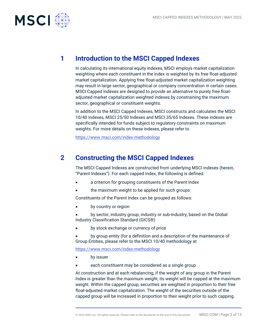

# **1 Introduction to the MSCI Capped Indexes**

In calculating its international equity indexes, MSCI employs market capitalization weighting where each constituent in the index is weighted by its free float-adjusted market capitalization. Applying free float-adjusted market capitalization weighting may result in large sector, geographical or company concentration in certain cases. MSCI Capped Indexes are designed to provide an alternative to purely free floatadjusted market capitalization weighted indexes by constraining the maximum sector, geographical or constituent weights.

In addition to the MSCI Capped Indexes, MSCI constructs and calculates the MSCI 10/40 Indexes, MSCI 25/50 Indexes and MSCI 35/65 Indexes. These indexes are specifically intended for funds subject to regulatory constraints on maximum weights. For more details on these indexes, please refer to

<https://www.msci.com/index-methodology>

# **2 Constructing the MSCI Capped Indexes**

The MSCI Capped Indexes are constructed from underlying MSCI indexes (herein, "Parent Indexes"). For each capped index, the following is defined:

- a criterion for grouping constituents of the Parent Index
- the maximum weight to be applied for such groups

Constituents of the Parent Index can be grouped as follows:

by country or region

• by sector, industry group, industry or sub-industry, based on the Global Industry Classification Standard (GICS®)

by stock exchange or currency of price

• by group entity (for a definition and a description of the maintenance of Group Entities, please refer to the MSCI 10/40 methodology at

<https://www.msci.com/index-methodology>

- by issuer
- each constituent may be considered as a single group

At construction and at each rebalancing, if the weight of any group in the Parent Index is greater than the maximum weight, its weight will be capped at the maximum weight. Within the capped group, securities are weighted in proportion to their free float-adjusted market capitalization. The weight of the securities outside of the capped group will be increased in proportion to their weight prior to such capping.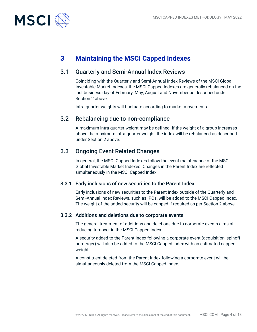

# **3 Maintaining the MSCI Capped Indexes**

# 3.1 Quarterly and Semi-Annual Index Reviews

Coinciding with the Quarterly and Semi-Annual Index Reviews of the MSCI Global Investable Market Indexes, the MSCI Capped Indexes are generally rebalanced on the last business day of February, May, August and November as described under Section 2 above.

Intra-quarter weights will fluctuate according to market movements.

## 3.2 Rebalancing due to non-compliance

A maximum intra-quarter weight may be defined. If the weight of a group increases above the maximum intra-quarter weight, the index will be rebalanced as described under Section 2 above.

### 3.3 Ongoing Event Related Changes

In general, the MSCI Capped Indexes follow the event maintenance of the MSCI Global Investable Market Indexes. Changes in the Parent Index are reflected simultaneously in the MSCI Capped Index.

### 3.3.1 Early inclusions of new securities to the Parent Index

Early inclusions of new securities to the Parent Index outside of the Quarterly and Semi-Annual Index Reviews, such as IPOs, will be added to the MSCI Capped Index. The weight of the added security will be capped if required as per Section 2 above.

### 3.3.2 Additions and deletions due to corporate events

The general treatment of additions and deletions due to corporate events aims at reducing turnover in the MSCI Capped Index.

A security added to the Parent Index following a corporate event (acquisition, spinoff or merger) will also be added to the MSCI Capped index with an estimated capped weight.

A constituent deleted from the Parent Index following a corporate event will be simultaneously deleted from the MSCI Capped Index.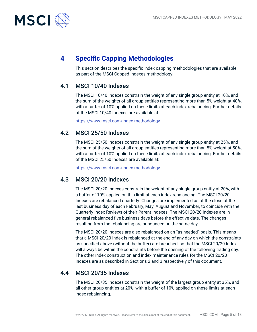

# **4 Specific Capping Methodologies**

This section describes the specific index capping methodologies that are available as part of the MSCI Capped Indexes methodology:

# 4.1 MSCI 10/40 Indexes

The MSCI 10/40 Indexes constrain the weight of any single group entity at 10%, and the sum of the weights of all group entities representing more than 5% weight at 40%, with a buffer of 10% applied on these limits at each index rebalancing. Further details of the MSCI 10/40 Indexes are available at:

<https://www.msci.com/index-methodology>

## 4.2 MSCI 25/50 Indexes

The MSCI 25/50 Indexes constrain the weight of any single group entity at 25%, and the sum of the weights of all group entities representing more than 5% weight at 50%, with a buffer of 10% applied on these limits at each index rebalancing. Further details of the MSCI 25/50 Indexes are available at:

<https://www.msci.com/index-methodology>

## 4.3 MSCI 20/20 Indexes

The MSCI 20/20 Indexes constrain the weight of any single group entity at 20%, with a buffer of 10% applied on this limit at each index rebalancing. The MSCI 20/20 Indexes are rebalanced quarterly. Changes are implemented as of the close of the last business day of each February, May, August and November, to coincide with the Quarterly Index Reviews of their Parent Indexes. The MSCI 20/20 Indexes are in general rebalanced five business days before the effective date. The changes resulting from the rebalancing are announced on the same day.

The MSCI 20/20 Indexes are also rebalanced on an "as needed" basis. This means that a MSCI 20/20 Index is rebalanced at the end of any day on which the constraints as specified above (without the buffer) are breached, so that the MSCI 20/20 Index will always be within the constraints before the opening of the following trading day. The other index construction and index maintenance rules for the MSCI 20/20 Indexes are as described in Sections 2 and 3 respectively of this document.

## 4.4 MSCI 20/35 Indexes

The MSCI 20/35 Indexes constrain the weight of the largest group entity at 35%, and all other group entities at 20%, with a buffer of 10% applied on these limits at each index rebalancing.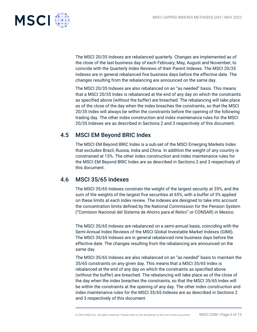

The MSCI 20/35 Indexes are rebalanced quarterly. Changes are implemented as of the close of the last business day of each February, May, August and November, to coincide with the Quarterly Index Reviews of their Parent Indexes. The MSCI 20/35 Indexes are in general rebalanced five business days before the effective date. The changes resulting from the rebalancing are announced on the same day.

The MSCI 20/35 Indexes are also rebalanced on an "as needed" basis. This means that a MSCI 20/35 Index is rebalanced at the end of any day on which the constraints as specified above (without the buffer) are breached. The rebalancing will take place as of the close of the day when the index breaches the constraints, so that the MSCI 20/35 Index will always be within the constraints before the opening of the following trading day. The other index construction and index maintenance rules for the MSCI 20/35 Indexes are as described in Sections 2 and 3 respectively of this document.

## 4.5 MSCI EM Beyond BRIC Index

The MSCI EM Beyond BRIC Index is a sub-set of the MSCI Emerging Markets Index that excludes Brazil, Russia, India and China. In addition the weight of any country is constrained at 15%. The other index construction and index maintenance rules for the MSCI EM Beyond BRIC Index are as described in Sections 2 and 3 respectively of this document.

## 4.6 MSCI 35/65 Indexes

The MSCI 35/65 Indexes constrain the weight of the largest security at 35%, and the sum of the weights of the largest five securities at 65%, with a buffer of 5% applied on these limits at each index review. The indexes are designed to take into account the concentration limits defined by the National Commission for the Pension System ("Comision Nacional del Sistema de Ahorro para el Retiro" or CONSAR) in Mexico.

The MSCI 35/65 Indexes are rebalanced on a semi-annual basis, coinciding with the Semi-Annual Index Reviews of the MSCI Global Investable Market Indexes (GIMI). The MSCI 35/65 Indexes are in general rebalanced nine business days before the effective date. The changes resulting from the rebalancing are announced on the same day.

The MSCI 35/65 Indexes are also rebalanced on an "as needed" basis to maintain the 35/65 constraints on any given day. This means that a MSCI 35/65 Index is rebalanced at the end of any day on which the constraints as specified above (without the buffer) are breached. The rebalancing will take place as of the close of the day when the index breaches the constraints, so that the MSCI 35/65 Index will be within the constraints at the opening of any day. The other index construction and index maintenance rules for the MSCI 35/65 Indexes are as described in Sections 2 and 3 respectively of this document.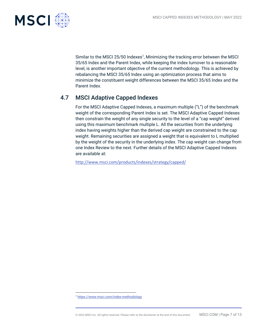

Similar to the MSCI 25/50 Indexes<sup>1</sup>, Minimizing the tracking error between the MSCI 35/65 Index and the Parent Index, while keeping the index turnover to a reasonable level, is another important objective of the current methodology. This is achieved by rebalancing the MSCI 35/65 Index using an optimization process that aims to minimize the constituent weight differences between the MSCI 35/65 Index and the Parent Index.

# 4.7 MSCI Adaptive Capped Indexes

For the MSCI Adaptive Capped Indexes, a maximum multiple ("L") of the benchmark weight of the corresponding Parent Index is set. The MSCI Adaptive Capped Indexes then constrain the weight of any single security to the level of a "cap weight" derived using this maximum benchmark multiple L. All the securities from the underlying index having weights higher than the derived cap weight are constrained to the cap weight. Remaining securities are assigned a weight that is equivalent to L multiplied by the weight of the security in the underlying index. The cap weight can change from one Index Review to the next. Further details of the MSCI Adaptive Capped Indexes are available at:

<http://www.msci.com/products/indexes/strategy/capped/>

<sup>1</sup> <https://www.msci.com/index-methodology>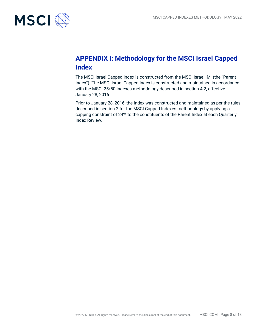

# **APPENDIX I: Methodology for the MSCI Israel Capped Index**

The MSCI Israel Capped Index is constructed from the MSCI Israel IMI (the "Parent Index"). The MSCI Israel Capped Index is constructed and maintained in accordance with the MSCI 25/50 Indexes methodology described in section 4.2, effective January 28, 2016.

Prior to January 28, 2016, the Index was constructed and maintained as per the rules described in section 2 for the MSCI Capped Indexes methodology by applying a capping constraint of 24% to the constituents of the Parent Index at each Quarterly Index Review.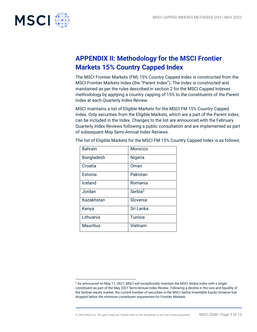

# **APPENDIX II: Methodology for the MSCI Frontier Markets 15% Country Capped Index**

The MSCI Frontier Markets (FM) 15% Country Capped Index is constructed from the MSCI Frontier Markets Index (the "Parent Index"). The Index is constructed and maintained as per the rules described in section 2 for the MSCI Capped Indexes methodology by applying a country capping of 15% to the constituents of the Parent Index at each Quarterly Index Review.

MSCI maintains a list of Eligible Markets for the MSCI FM 15% Country Capped Index. Only securities from the Eligible Markets, which are a part of the Parent Index, can be included in the Index. Changes to the list are announced with the February Quarterly Index Reviews following a public consultation and are implemented as part of subsequent May Semi-Annual Index Reviews.

| <b>Bahrain</b>   | Morocco             |
|------------------|---------------------|
| Bangladesh       | Nigeria             |
| Croatia          | Oman                |
| Estonia          | Pakistan            |
| Iceland          | Romania             |
| Jordan           | Serbia <sup>2</sup> |
| Kazakhstan       | Slovenia            |
| Kenya            | Sri Lanka           |
| Lithuania        | <b>Tunisia</b>      |
| <b>Mauritius</b> | Vietnam             |

The list of Eligible Markets for the MSCI FM 15% Country Capped Index is as follows:

<sup>&</sup>lt;sup>2</sup> As announced on May 11, 2021, MSCI will exceptionally maintain the MSCI Serbia Index with a single constituent as part of the May 2021 Semi-Annual Index Review. Following a decline in the size and liquidity of the Serbian equity market, the current number of securities in the MSCI Serbia Investable Equity Universe has dropped below the minimum constituent requirement for Frontier Markets.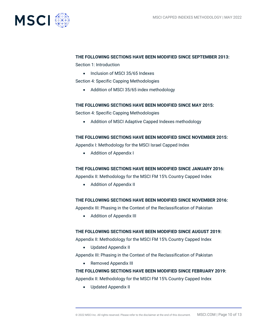

#### **THE FOLLOWING SECTIONS HAVE BEEN MODIFIED SINCE SEPTEMBER 2013:**

Section 1: Introduction

• Inclusion of MSCI 35/65 Indexes

Section 4: Specific Capping Methodologies

• Addition of MSCI 35/65 index methodology

#### **THE FOLLOWING SECTIONS HAVE BEEN MODIFIED SINCE MAY 2015:**

Section 4: Specific Capping Methodologies

• Addition of MSCI Adaptive Capped Indexes methodology

### **THE FOLLOWING SECTIONS HAVE BEEN MODIFIED SINCE NOVEMBER 2015:**

Appendix I: Methodology for the MSCI Israel Capped Index

• Addition of Appendix I

#### **THE FOLLOWING SECTIONS HAVE BEEN MODIFIED SINCE JANUARY 2016:**

Appendix II: Methodology for the MSCI FM 15% Country Capped Index

• Addition of Appendix II

### **THE FOLLOWING SECTIONS HAVE BEEN MODIFIED SINCE NOVEMBER 2016:**

Appendix III: Phasing in the Context of the Reclassification of Pakistan

• Addition of Appendix III

### **THE FOLLOWING SECTIONS HAVE BEEN MODIFIED SINCE AUGUST 2019:**

Appendix II: Methodology for the MSCI FM 15% Country Capped Index

• Updated Appendix II

Appendix III: Phasing in the Context of the Reclassification of Pakistan

• Removed Appendix III

### **THE FOLLOWING SECTIONS HAVE BEEN MODIFIED SINCE FEBRUARY 2019:**

Appendix II: Methodology for the MSCI FM 15% Country Capped Index

• Updated Appendix II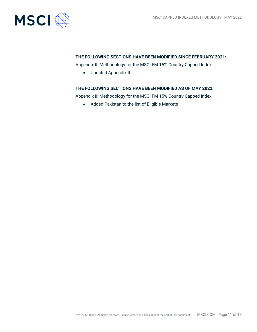

#### **THE FOLLOWING SECTIONS HAVE BEEN MODIFIED SINCE FEBRUARY 2021:**

Appendix II: Methodology for the MSCI FM 15% Country Capped Index

• Updated Appendix II

#### **THE FOLLOWING SECTIONS HAVE BEEN MODIFIED AS OF MAY 2022:**

Appendix II: Methodology for the MSCI FM 15% Country Capped Index

• Added Pakistan to the list of Eligible Markets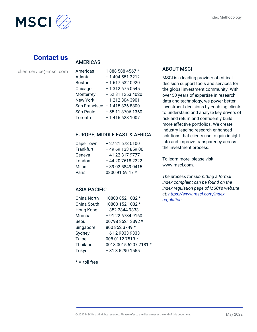

# **Contact us**

clientservice@msci.com

### AMERICAS

| Americas        | 1888 588 4567 *  |
|-----------------|------------------|
| Atlanta         | +1 404 551 3212  |
| <b>Boston</b>   | +1 617 532 0920  |
| Chicago         | +13126750545     |
| Monterrey       | +52 81 1253 4020 |
| <b>New York</b> | +12128043901     |
| San Francisco   | +14158368800     |
| São Paulo       | +55 11 3706 1360 |
| Toronto         | +14166281007     |

### EUROPE, MIDDLE EAST & AFRICA

| Cape Town | +27216730100      |
|-----------|-------------------|
| Frankfurt | +49 69 133 859 00 |
| Geneva    | +41 22 817 9777   |
| London    | +44 20 7618 2222  |
| Milan     | +39 02 5849 0415  |
| Paris     | 0800 91 59 17 *   |

### ASIA PACIFIC

| China North | 10800 852 1032 *      |
|-------------|-----------------------|
| China South | 10800 152 1032 *      |
| Hong Kong   | +852 2844 9333        |
| Mumbai      | +91 22 6784 9160      |
| Seoul       | 00798 8521 3392 *     |
| Singapore   | 800 852 3749 *        |
| Sydney      | +61290339333          |
| Taipei      | 008 0112 7513 *       |
| Thailand    | 0018 0015 6207 7181 * |
| Tokyo       | + 81 3 5290 1555      |

### ABOUT MSCI

MSCI is a leading provider of critical decision support tools and services for the global investment community. With over 50 years of expertise in research, data and technology, we power better investment decisions by enabling clients to understand and analyze key drivers of risk and return and confidently build more effective portfolios. We create industry-leading research-enhanced solutions that clients use to gain insight into and improve transparency across the investment process.

To learn more, please visit www.msci.com.

*The process for submitting a formal index complaint can be found on the index regulation page of MSCI's website at: [https://www.msci.com/index](https://www.msci.com/index-regulation)[regulation](https://www.msci.com/index-regulation).*

 $* =$  toll free